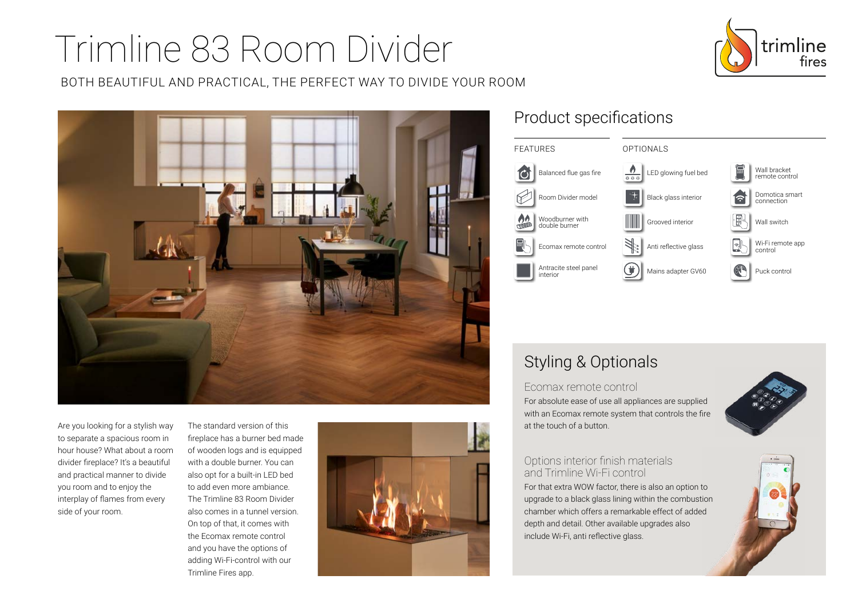# Trimline 83 Room Divider



BOTH BEAUTIFUL AND PRACTICAL, THE PERFECT WAY TO DIVIDE YOUR ROOM



Are you looking for a stylish way to separate a spacious room in hour house? What about a room divider fireplace? It's a beautiful and practical manner to divide you room and to enjoy the interplay of flames from every side of your room.

The standard version of this fireplace has a burner bed made of wooden logs and is equipped with a double burner. You can also opt for a built-in LED bed to add even more ambiance. The Trimline 83 Room Divider also comes in a tunnel version. On top of that, it comes with the Ecomax remote control and you have the options of adding Wi-Fi-control with our Trimline Fires app.



## Product specifications



## Styling & Optionals

Ecomax remote control For absolute ease of use all appliances are supplied with an Ecomax remote system that controls the fire at the touch of a button.



#### Options interior finish materials and Trimline Wi-Fi control

For that extra WOW factor, there is also an option to upgrade to a black glass lining within the combustion chamber which offers a remarkable effect of added depth and detail. Other available upgrades also include Wi-Fi, anti reflective glass.